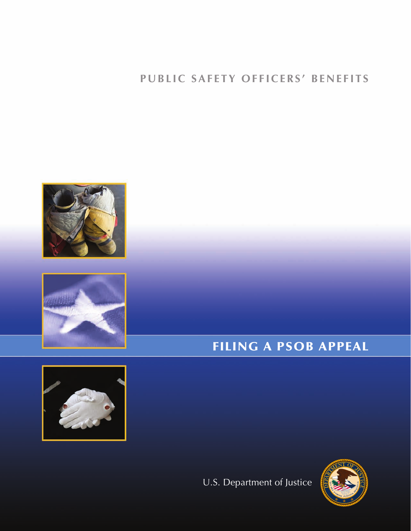











## **PUBLIC SAFETY OFFICERS' BENEFITS**